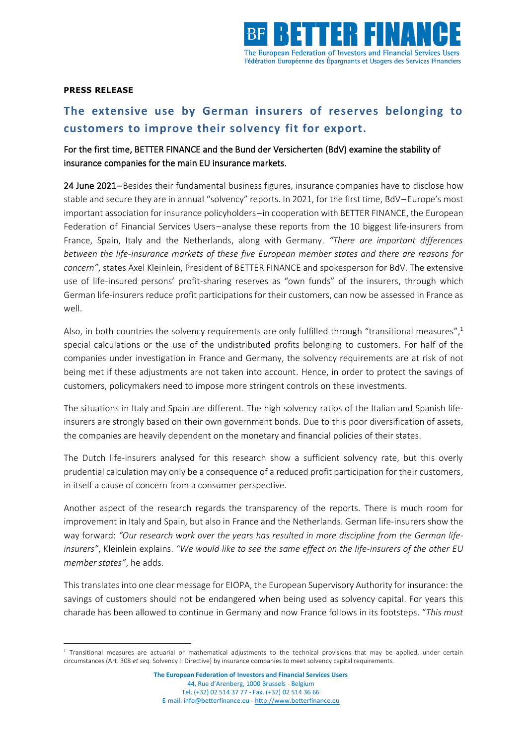

## **PRESS RELEASE**

## **The extensive use by German insurers of reserves belonging to customers to improve their solvency fit for export.**

## For the first time, BETTER FINANCE and the Bund der Versicherten (BdV) examine the stability of insurance companies for the main EU insurance markets.

24 June 2021 – Besides their fundamental business figures, insurance companies have to disclose how stable and secure they are in annual "solvency" reports. In 2021, for the first time, BdV–Europe's most important association for insurance policyholders–in cooperation with BETTER FINANCE, the European Federation of Financial Services Users–analyse these reports from the 10 biggest life-insurers from France, Spain, Italy and the Netherlands, along with Germany. *"There are important differences between the life-insurance markets of these five European member states and there are reasons for concern"*, states Axel Kleinlein, President of BETTER FINANCE and spokesperson for BdV. The extensive use of life-insured persons' profit-sharing reserves as "own funds" of the insurers, through which German life-insurers reduce profit participations for their customers, can now be assessed in France as well.

Also, in both countries the solvency requirements are only fulfilled through "transitional measures",<sup>1</sup> special calculations or the use of the undistributed profits belonging to customers. For half of the companies under investigation in France and Germany, the solvency requirements are at risk of not being met if these adjustments are not taken into account. Hence, in order to protect the savings of customers, policymakers need to impose more stringent controls on these investments.

The situations in Italy and Spain are different. The high solvency ratios of the Italian and Spanish lifeinsurers are strongly based on their own government bonds. Due to this poor diversification of assets, the companies are heavily dependent on the monetary and financial policies of their states.

The Dutch life-insurers analysed for this research show a sufficient solvency rate, but this overly prudential calculation may only be a consequence of a reduced profit participation for their customers, in itself a cause of concern from a consumer perspective.

Another aspect of the research regards the transparency of the reports. There is much room for improvement in Italy and Spain, but also in France and the Netherlands. German life-insurers show the way forward: *"Our research work over the years has resulted in more discipline from the German lifeinsurers"*, Kleinlein explains. *"We would like to see the same effect on the life-insurers of the other EU member states"*, he adds.

This translates into one clear message for EIOPA, the European Supervisory Authority for insurance: the savings of customers should not be endangered when being used as solvency capital. For years this charade has been allowed to continue in Germany and now France follows in its footsteps. "*This must* 

 $1$  Transitional measures are actuarial or mathematical adjustments to the technical provisions that may be applied, under certain circumstances (Art. 308 *et seq.* Solvency II Directive) by insurance companies to meet solvency capital requirements.